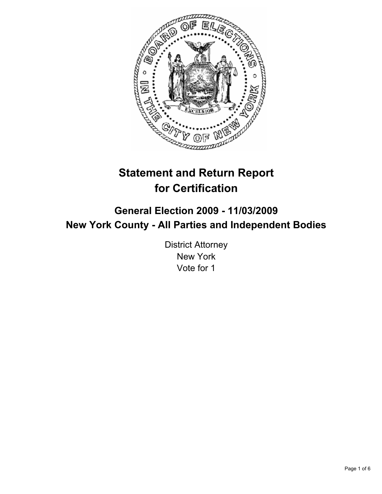

# **Statement and Return Report for Certification**

## **General Election 2009 - 11/03/2009 New York County - All Parties and Independent Bodies**

District Attorney New York Vote for 1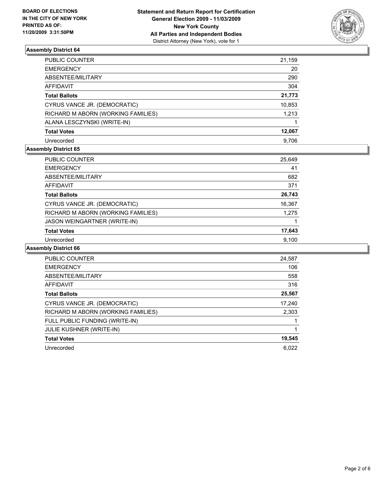

| PUBLIC COUNTER                     | 21,159 |
|------------------------------------|--------|
| <b>EMERGENCY</b>                   | 20     |
| ABSENTEE/MILITARY                  | 290    |
| <b>AFFIDAVIT</b>                   | 304    |
| <b>Total Ballots</b>               | 21,773 |
| CYRUS VANCE JR. (DEMOCRATIC)       | 10,853 |
| RICHARD M ABORN (WORKING FAMILIES) | 1,213  |
| ALANA LESCZYNSKI (WRITE-IN)        |        |
| <b>Total Votes</b>                 | 12,067 |
| Unrecorded                         | 9.706  |

## **Assembly District 65**

| PUBLIC COUNTER                      | 25,649 |
|-------------------------------------|--------|
| <b>EMERGENCY</b>                    | 41     |
| ABSENTEE/MILITARY                   | 682    |
| <b>AFFIDAVIT</b>                    | 371    |
| <b>Total Ballots</b>                | 26,743 |
| CYRUS VANCE JR. (DEMOCRATIC)        | 16,367 |
| RICHARD M ABORN (WORKING FAMILIES)  | 1,275  |
| <b>JASON WEINGARTNER (WRITE-IN)</b> |        |
| <b>Total Votes</b>                  | 17,643 |
| Unrecorded                          | 9.100  |

| <b>PUBLIC COUNTER</b>              | 24,587 |
|------------------------------------|--------|
| <b>EMERGENCY</b>                   | 106    |
| ABSENTEE/MILITARY                  | 558    |
| <b>AFFIDAVIT</b>                   | 316    |
| <b>Total Ballots</b>               | 25,567 |
| CYRUS VANCE JR. (DEMOCRATIC)       | 17,240 |
| RICHARD M ABORN (WORKING FAMILIES) | 2,303  |
| FULL PUBLIC FUNDING (WRITE-IN)     |        |
| <b>JULIE KUSHNER (WRITE-IN)</b>    |        |
| <b>Total Votes</b>                 | 19,545 |
| Unrecorded                         | 6.022  |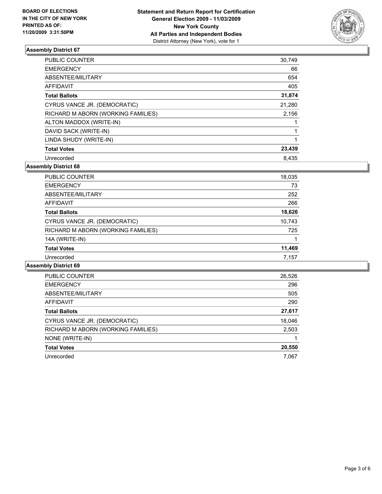

| <b>PUBLIC COUNTER</b>              | 30,749 |
|------------------------------------|--------|
| <b>EMERGENCY</b>                   | 66     |
| ABSENTEE/MILITARY                  | 654    |
| <b>AFFIDAVIT</b>                   | 405    |
| <b>Total Ballots</b>               | 31,874 |
| CYRUS VANCE JR. (DEMOCRATIC)       | 21,280 |
| RICHARD M ABORN (WORKING FAMILIES) | 2,156  |
| ALTON MADDOX (WRITE-IN)            |        |
| DAVID SACK (WRITE-IN)              |        |
| LINDA SHUDY (WRITE-IN)             | 1      |
| <b>Total Votes</b>                 | 23,439 |
| Unrecorded                         | 8.435  |

**Assembly District 68**

| <b>PUBLIC COUNTER</b>              | 18,035 |
|------------------------------------|--------|
| <b>EMERGENCY</b>                   | 73     |
| ABSENTEE/MILITARY                  | 252    |
| AFFIDAVIT                          | 266    |
| <b>Total Ballots</b>               | 18,626 |
| CYRUS VANCE JR. (DEMOCRATIC)       | 10,743 |
| RICHARD M ABORN (WORKING FAMILIES) | 725    |
| 14A (WRITE-IN)                     |        |
| <b>Total Votes</b>                 | 11,469 |
| Unrecorded                         | 7,157  |
|                                    |        |

| PUBLIC COUNTER                     | 26,526 |
|------------------------------------|--------|
| <b>EMERGENCY</b>                   | 296    |
| ABSENTEE/MILITARY                  | 505    |
| AFFIDAVIT                          | 290    |
| <b>Total Ballots</b>               | 27,617 |
| CYRUS VANCE JR. (DEMOCRATIC)       | 18,046 |
| RICHARD M ABORN (WORKING FAMILIES) | 2,503  |
| NONE (WRITE-IN)                    |        |
| <b>Total Votes</b>                 | 20,550 |
| Unrecorded                         | 7,067  |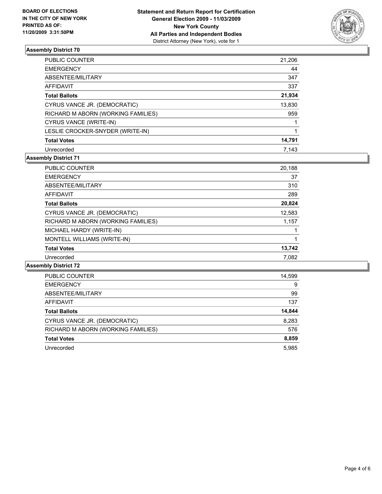

| <b>PUBLIC COUNTER</b>              | 21,206 |
|------------------------------------|--------|
| <b>EMERGENCY</b>                   | 44     |
| ABSENTEE/MILITARY                  | 347    |
| AFFIDAVIT                          | 337    |
| <b>Total Ballots</b>               | 21,934 |
| CYRUS VANCE JR. (DEMOCRATIC)       | 13,830 |
| RICHARD M ABORN (WORKING FAMILIES) | 959    |
| CYRUS VANCE (WRITE-IN)             |        |
| LESLIE CROCKER-SNYDER (WRITE-IN)   |        |
| <b>Total Votes</b>                 | 14,791 |
| Unrecorded                         | 7.143  |

## **Assembly District 71**

| <b>PUBLIC COUNTER</b>              | 20,188 |
|------------------------------------|--------|
| <b>EMERGENCY</b>                   | 37     |
| ABSENTEE/MILITARY                  | 310    |
| AFFIDAVIT                          | 289    |
| <b>Total Ballots</b>               | 20,824 |
| CYRUS VANCE JR. (DEMOCRATIC)       | 12,583 |
| RICHARD M ABORN (WORKING FAMILIES) | 1,157  |
| MICHAEL HARDY (WRITE-IN)           |        |
| MONTELL WILLIAMS (WRITE-IN)        | 1      |
| <b>Total Votes</b>                 | 13,742 |
| Unrecorded                         | 7,082  |
|                                    |        |

| PUBLIC COUNTER                     | 14,599 |
|------------------------------------|--------|
| <b>EMERGENCY</b>                   | 9      |
| ABSENTEE/MILITARY                  | 99     |
| <b>AFFIDAVIT</b>                   | 137    |
| <b>Total Ballots</b>               | 14,844 |
| CYRUS VANCE JR. (DEMOCRATIC)       | 8,283  |
| RICHARD M ABORN (WORKING FAMILIES) | 576    |
| <b>Total Votes</b>                 | 8,859  |
| Unrecorded                         | 5.985  |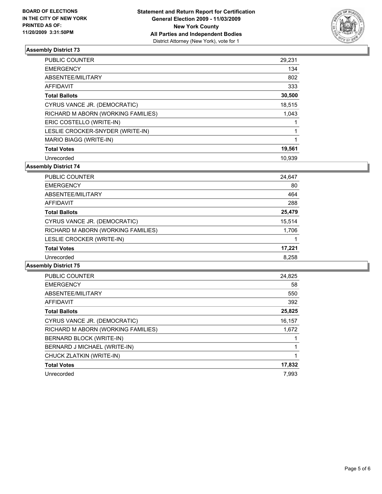

| PUBLIC COUNTER                     | 29,231 |
|------------------------------------|--------|
| <b>EMERGENCY</b>                   | 134    |
| ABSENTEE/MILITARY                  | 802    |
| <b>AFFIDAVIT</b>                   | 333    |
| <b>Total Ballots</b>               | 30,500 |
| CYRUS VANCE JR. (DEMOCRATIC)       | 18,515 |
| RICHARD M ABORN (WORKING FAMILIES) | 1,043  |
| ERIC COSTELLO (WRITE-IN)           |        |
| LESLIE CROCKER-SNYDER (WRITE-IN)   |        |
| <b>MARIO BIAGG (WRITE-IN)</b>      |        |
| <b>Total Votes</b>                 | 19,561 |
| Unrecorded                         | 10.939 |

**Assembly District 74**

| <b>PUBLIC COUNTER</b>              | 24,647 |
|------------------------------------|--------|
| <b>EMERGENCY</b>                   | 80     |
| ABSENTEE/MILITARY                  | 464    |
| AFFIDAVIT                          | 288    |
| <b>Total Ballots</b>               | 25,479 |
| CYRUS VANCE JR. (DEMOCRATIC)       | 15,514 |
| RICHARD M ABORN (WORKING FAMILIES) | 1,706  |
| LESLIE CROCKER (WRITE-IN)          |        |
| <b>Total Votes</b>                 | 17,221 |
| Unrecorded                         | 8.258  |
|                                    |        |

| <b>PUBLIC COUNTER</b>              | 24,825 |
|------------------------------------|--------|
| <b>EMERGENCY</b>                   | 58     |
| ABSENTEE/MILITARY                  | 550    |
| AFFIDAVIT                          | 392    |
| <b>Total Ballots</b>               | 25,825 |
| CYRUS VANCE JR. (DEMOCRATIC)       | 16,157 |
| RICHARD M ABORN (WORKING FAMILIES) | 1,672  |
| <b>BERNARD BLOCK (WRITE-IN)</b>    |        |
| BERNARD J MICHAEL (WRITE-IN)       |        |
| CHUCK ZLATKIN (WRITE-IN)           |        |
| <b>Total Votes</b>                 | 17,832 |
| Unrecorded                         | 7.993  |